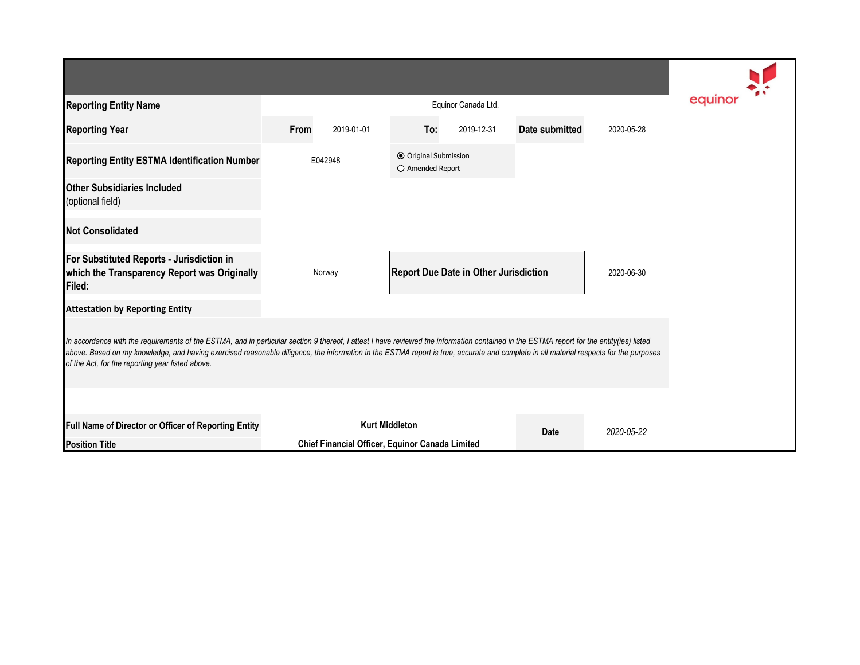| <b>Reporting Entity Name</b>                                                                                                                                                                                                                                                                                                                                                                                                          |                    | equinor                                         |                                              |            |                |            |  |  |  |  |  |
|---------------------------------------------------------------------------------------------------------------------------------------------------------------------------------------------------------------------------------------------------------------------------------------------------------------------------------------------------------------------------------------------------------------------------------------|--------------------|-------------------------------------------------|----------------------------------------------|------------|----------------|------------|--|--|--|--|--|
| <b>Reporting Year</b>                                                                                                                                                                                                                                                                                                                                                                                                                 | From<br>2019-01-01 |                                                 | To:                                          | 2019-12-31 | Date submitted | 2020-05-28 |  |  |  |  |  |
| Reporting Entity ESTMA Identification Number                                                                                                                                                                                                                                                                                                                                                                                          | E042948            |                                                 | O Original Submission<br>O Amended Report    |            |                |            |  |  |  |  |  |
| <b>Other Subsidiaries Included</b><br>(optional field)                                                                                                                                                                                                                                                                                                                                                                                |                    |                                                 |                                              |            |                |            |  |  |  |  |  |
| <b>Not Consolidated</b>                                                                                                                                                                                                                                                                                                                                                                                                               |                    |                                                 |                                              |            |                |            |  |  |  |  |  |
| For Substituted Reports - Jurisdiction in<br>which the Transparency Report was Originally<br>Filed:                                                                                                                                                                                                                                                                                                                                   |                    | Norway                                          | <b>Report Due Date in Other Jurisdiction</b> |            |                | 2020-06-30 |  |  |  |  |  |
| <b>Attestation by Reporting Entity</b>                                                                                                                                                                                                                                                                                                                                                                                                |                    |                                                 |                                              |            |                |            |  |  |  |  |  |
| In accordance with the requirements of the ESTMA, and in particular section 9 thereof, I attest I have reviewed the information contained in the ESTMA report for the entity(ies) listed<br>above. Based on my knowledge, and having exercised reasonable diligence, the information in the ESTMA report is true, accurate and complete in all material respects for the purposes<br>of the Act, for the reporting year listed above. |                    |                                                 |                                              |            |                |            |  |  |  |  |  |
| Full Name of Director or Officer of Reporting Entity                                                                                                                                                                                                                                                                                                                                                                                  |                    |                                                 | <b>Kurt Middleton</b>                        |            | <b>Date</b>    | 2020-05-22 |  |  |  |  |  |
| <b>Position Title</b>                                                                                                                                                                                                                                                                                                                                                                                                                 |                    | Chief Financial Officer, Equinor Canada Limited |                                              |            |                |            |  |  |  |  |  |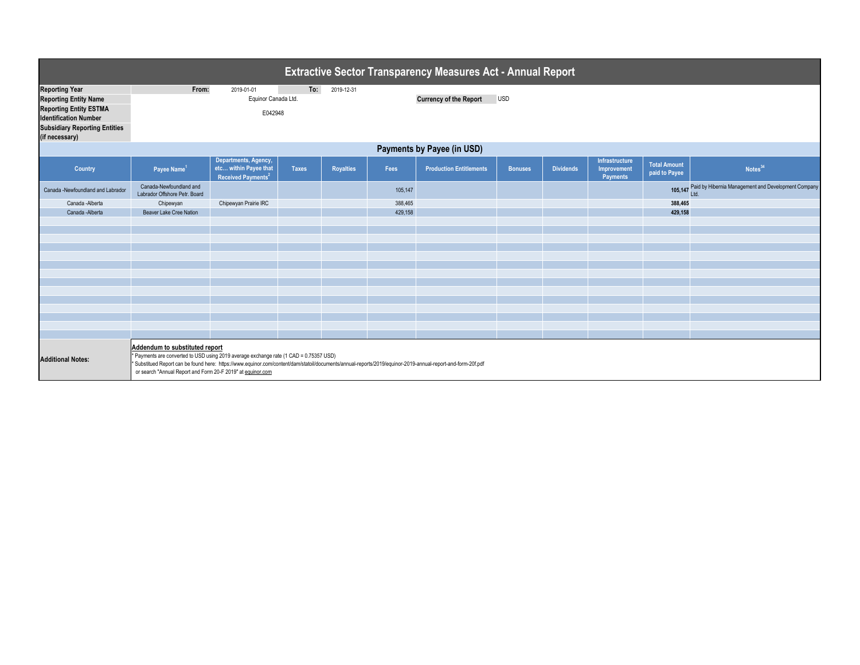| <b>Extractive Sector Transparency Measures Act - Annual Report</b> |                                                                                                                                                                                                                                                                                                                                                         |                                                                                 |                   |                                             |         |                                |                |                  |                                                  |                                      |                                                             |  |
|--------------------------------------------------------------------|---------------------------------------------------------------------------------------------------------------------------------------------------------------------------------------------------------------------------------------------------------------------------------------------------------------------------------------------------------|---------------------------------------------------------------------------------|-------------------|---------------------------------------------|---------|--------------------------------|----------------|------------------|--------------------------------------------------|--------------------------------------|-------------------------------------------------------------|--|
| <b>Reporting Year</b><br><b>Reporting Entity Name</b>              | From:                                                                                                                                                                                                                                                                                                                                                   | 2019-01-01<br>Equinor Canada Ltd.                                               | To:<br>2019-12-31 | <b>Currency of the Report</b><br><b>USD</b> |         |                                |                |                  |                                                  |                                      |                                                             |  |
| <b>Reporting Entity ESTMA</b><br><b>Identification Number</b>      |                                                                                                                                                                                                                                                                                                                                                         | E042948                                                                         |                   |                                             |         |                                |                |                  |                                                  |                                      |                                                             |  |
| <b>Subsidiary Reporting Entities</b><br>(if necessary)             |                                                                                                                                                                                                                                                                                                                                                         |                                                                                 |                   |                                             |         |                                |                |                  |                                                  |                                      |                                                             |  |
| Payments by Payee (in USD)                                         |                                                                                                                                                                                                                                                                                                                                                         |                                                                                 |                   |                                             |         |                                |                |                  |                                                  |                                      |                                                             |  |
| <b>Country</b>                                                     | Payee Name <sup>1</sup>                                                                                                                                                                                                                                                                                                                                 | Departments, Agency,<br>etc within Payee that<br>Received Payments <sup>2</sup> | <b>Taxes</b>      | <b>Royalties</b>                            | Fees    | <b>Production Entitlements</b> | <b>Bonuses</b> | <b>Dividends</b> | Infrastructure<br>Improvement<br><b>Payments</b> | <b>Total Amount</b><br>paid to Payee | Notes <sup>34</sup>                                         |  |
| Canada -Newfoundland and Labrador                                  | Canada-Newfoundland and<br>Labrador Offshore Petr. Board                                                                                                                                                                                                                                                                                                |                                                                                 |                   |                                             | 105,147 |                                |                |                  |                                                  |                                      | Paid by Hibernia Management and Development Company<br>Ltd. |  |
| Canada - Alberta                                                   | Chipewyan                                                                                                                                                                                                                                                                                                                                               | Chipewyan Prairie IRC                                                           |                   |                                             | 388,465 |                                |                |                  | 388,465                                          |                                      |                                                             |  |
| Canada - Alberta                                                   | Beaver Lake Cree Nation                                                                                                                                                                                                                                                                                                                                 |                                                                                 |                   |                                             | 429,158 |                                |                |                  |                                                  | 429,158                              |                                                             |  |
|                                                                    |                                                                                                                                                                                                                                                                                                                                                         |                                                                                 |                   |                                             |         |                                |                |                  |                                                  |                                      |                                                             |  |
|                                                                    |                                                                                                                                                                                                                                                                                                                                                         |                                                                                 |                   |                                             |         |                                |                |                  |                                                  |                                      |                                                             |  |
|                                                                    |                                                                                                                                                                                                                                                                                                                                                         |                                                                                 |                   |                                             |         |                                |                |                  |                                                  |                                      |                                                             |  |
|                                                                    |                                                                                                                                                                                                                                                                                                                                                         |                                                                                 |                   |                                             |         |                                |                |                  |                                                  |                                      |                                                             |  |
|                                                                    |                                                                                                                                                                                                                                                                                                                                                         |                                                                                 |                   |                                             |         |                                |                |                  |                                                  |                                      |                                                             |  |
|                                                                    |                                                                                                                                                                                                                                                                                                                                                         |                                                                                 |                   |                                             |         |                                |                |                  |                                                  |                                      |                                                             |  |
|                                                                    |                                                                                                                                                                                                                                                                                                                                                         |                                                                                 |                   |                                             |         |                                |                |                  |                                                  |                                      |                                                             |  |
|                                                                    |                                                                                                                                                                                                                                                                                                                                                         |                                                                                 |                   |                                             |         |                                |                |                  |                                                  |                                      |                                                             |  |
|                                                                    |                                                                                                                                                                                                                                                                                                                                                         |                                                                                 |                   |                                             |         |                                |                |                  |                                                  |                                      |                                                             |  |
|                                                                    |                                                                                                                                                                                                                                                                                                                                                         |                                                                                 |                   |                                             |         |                                |                |                  |                                                  |                                      |                                                             |  |
|                                                                    |                                                                                                                                                                                                                                                                                                                                                         |                                                                                 |                   |                                             |         |                                |                |                  |                                                  |                                      |                                                             |  |
| <b>Additional Notes:</b>                                           | Addendum to substituted report<br>* Payments are converted to USD using 2019 average exchange rate (1 CAD = 0.75357 USD)<br>* Substitued Report can be found here: https://www.equinor.com/content/dam/statoil/documents/annual-reports/2019/equinor-2019-annual-report-and-form-20f.pdf<br>or search "Annual Report and Form 20-F 2019" at equinor.com |                                                                                 |                   |                                             |         |                                |                |                  |                                                  |                                      |                                                             |  |